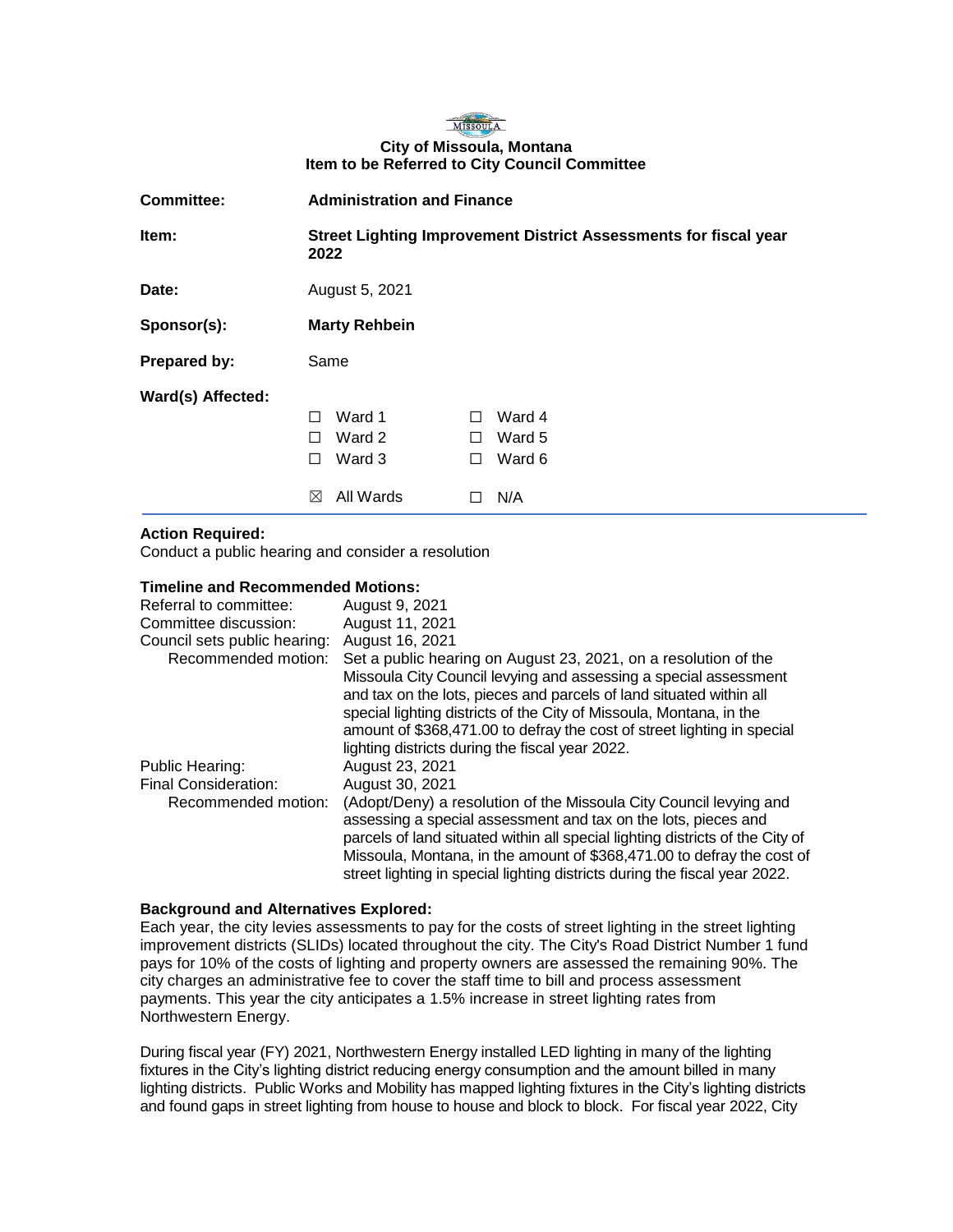### MISSOULA **City of Missoula, Montana Item to be Referred to City Council Committee**

| <b>Committee:</b> | <b>Administration and Finance</b>                                        |                                                        |
|-------------------|--------------------------------------------------------------------------|--------------------------------------------------------|
| Item:             | Street Lighting Improvement District Assessments for fiscal year<br>2022 |                                                        |
| Date:             | August 5, 2021                                                           |                                                        |
| Sponsor(s):       | <b>Marty Rehbein</b>                                                     |                                                        |
| Prepared by:      | Same                                                                     |                                                        |
| Ward(s) Affected: | Ward 1<br>П<br>Ward 2<br>П<br>Ward 3<br>П<br>All Wards<br>$\bowtie$      | Ward 4<br>П<br>Ward 5<br>п<br>Ward 6<br>$\perp$<br>N/A |

# **Action Required:**

Conduct a public hearing and consider a resolution

## **Timeline and Recommended Motions:**

| Referral to committee:       | August 9, 2021                                                                                                                                                                                                                                                                                                                                                                |
|------------------------------|-------------------------------------------------------------------------------------------------------------------------------------------------------------------------------------------------------------------------------------------------------------------------------------------------------------------------------------------------------------------------------|
| Committee discussion:        | August 11, 2021                                                                                                                                                                                                                                                                                                                                                               |
| Council sets public hearing: | August 16, 2021                                                                                                                                                                                                                                                                                                                                                               |
| Recommended motion:          | Set a public hearing on August 23, 2021, on a resolution of the<br>Missoula City Council levying and assessing a special assessment<br>and tax on the lots, pieces and parcels of land situated within all<br>special lighting districts of the City of Missoula, Montana, in the<br>amount of \$368,471.00 to defray the cost of street lighting in special                  |
|                              | lighting districts during the fiscal year 2022.                                                                                                                                                                                                                                                                                                                               |
| Public Hearing:              | August 23, 2021                                                                                                                                                                                                                                                                                                                                                               |
| Final Consideration:         | August 30, 2021                                                                                                                                                                                                                                                                                                                                                               |
| Recommended motion:          | (Adopt/Deny) a resolution of the Missoula City Council levying and<br>assessing a special assessment and tax on the lots, pieces and<br>parcels of land situated within all special lighting districts of the City of<br>Missoula, Montana, in the amount of \$368,471.00 to defray the cost of<br>street lighting in special lighting districts during the fiscal year 2022. |

## **Background and Alternatives Explored:**

Each year, the city levies assessments to pay for the costs of street lighting in the street lighting improvement districts (SLIDs) located throughout the city. The City's Road District Number 1 fund pays for 10% of the costs of lighting and property owners are assessed the remaining 90%. The city charges an administrative fee to cover the staff time to bill and process assessment payments. This year the city anticipates a 1.5% increase in street lighting rates from Northwestern Energy.

During fiscal year (FY) 2021, Northwestern Energy installed LED lighting in many of the lighting fixtures in the City's lighting district reducing energy consumption and the amount billed in many lighting districts. Public Works and Mobility has mapped lighting fixtures in the City's lighting districts and found gaps in street lighting from house to house and block to block. For fiscal year 2022, City